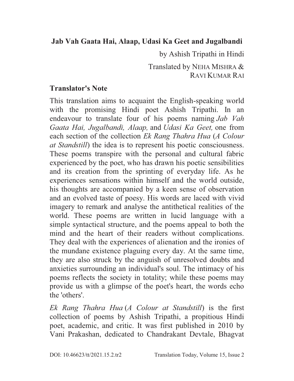### **Jab Vah Gaata Hai, Alaap, Udasi Ka Geet and Jugalbandi**

by Ashish Tripathi in Hindi

 Translated by NEHA MISHRA & RAVI KUMAR RAI

### **Translator's Note**

This translation aims to acquaint the English-speaking world with the promising Hindi poet Ashish Tripathi. In an endeavour to translate four of his poems naming *Jab Vah Gaata Hai, Jugalbandi, Alaap,* and *Udasi Ka Geet,* one from each section of the collection *Ek Rang Thahra Hua* (*A Colour at Standstill*) the idea is to represent his poetic consciousness. These poems transpire with the personal and cultural fabric experienced by the poet, who has drawn his poetic sensibilities and its creation from the sprinting of everyday life. As he experiences sensations within himself and the world outside, his thoughts are accompanied by a keen sense of observation and an evolved taste of poesy. His words are laced with vivid imagery to remark and analyse the antithetical realities of the world. These poems are written in lucid language with a simple syntactical structure, and the poems appeal to both the mind and the heart of their readers without complications. They deal with the experiences of alienation and the ironies of the mundane existence plaguing every day. At the same time, they are also struck by the anguish of unresolved doubts and anxieties surrounding an individual's soul. The intimacy of his poems reflects the society in totality; while these poems may provide us with a glimpse of the poet's heart, the words echo the 'others'.

*Ek Rang Thahra Hua* (*A Colour at Standstill*) is the first collection of poems by Ashish Tripathi, a propitious Hindi poet, academic, and critic. It was first published in 2010 by Vani Prakashan, dedicated to Chandrakant Devtale, Bhagvat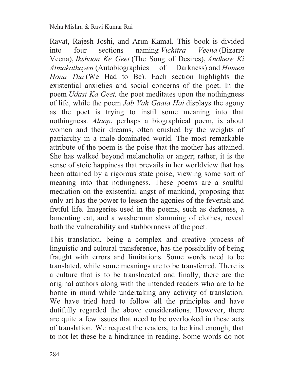Ravat, Rajesh Joshi, and Arun Kamal. This book is divided into four sections naming *Vichitra Veena* (Bizarre Veena), *Ikshaon Ke Geet* (The Song of Desires), *Andhere Ki Atmakathayen* (Autobiographies of Darkness) and *Humen Hona Tha* (We Had to Be). Each section highlights the existential anxieties and social concerns of the poet. In the poem *Udasi Ka Geet,* the poet meditates upon the nothingness of life, while the poem *Jab Vah Gaata Hai* displays the agony as the poet is trying to instil some meaning into that nothingness. *Alaap*, perhaps a biographical poem, is about women and their dreams, often crushed by the weights of patriarchy in a male-dominated world. The most remarkable attribute of the poem is the poise that the mother has attained. She has walked beyond melancholia or anger; rather, it is the sense of stoic happiness that prevails in her worldview that has been attained by a rigorous state poise; viewing some sort of meaning into that nothingness. These poems are a soulful mediation on the existential angst of mankind, proposing that only art has the power to lessen the agonies of the feverish and fretful life. Imageries used in the poems, such as darkness, a lamenting cat, and a washerman slamming of clothes, reveal both the vulnerability and stubbornness of the poet.

This translation, being a complex and creative process of linguistic and cultural transference, has the possibility of being fraught with errors and limitations. Some words need to be translated, while some meanings are to be transferred. There is a culture that is to be translocated and finally, there are the original authors along with the intended readers who are to be borne in mind while undertaking any activity of translation. We have tried hard to follow all the principles and have dutifully regarded the above considerations. However, there are quite a few issues that need to be overlooked in these acts of translation. We request the readers, to be kind enough, that to not let these be a hindrance in reading. Some words do not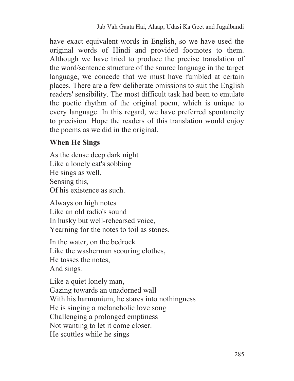have exact equivalent words in English, so we have used the original words of Hindi and provided footnotes to them. Although we have tried to produce the precise translation of the word/sentence structure of the source language in the target language, we concede that we must have fumbled at certain places. There are a few deliberate omissions to suit the English readers' sensibility. The most difficult task had been to emulate the poetic rhythm of the original poem, which is unique to every language. In this regard, we have preferred spontaneity to precision*.* Hope the readers of this translation would enjoy the poems as we did in the original.

#### **When He Sings**

As the dense deep dark night Like a lonely cat's sobbing He sings as well, Sensing this*,*  Of his existence as such.

Always on high notes Like an old radio's sound In husky but well-rehearsed voice, Yearning for the notes to toil as stones.

In the water, on the bedrock Like the washerman scouring clothes, He tosses the notes, And sings*.* 

Like a quiet lonely man, Gazing towards an unadorned wall With his harmonium, he stares into nothingness He is singing a melancholic love song Challenging a prolonged emptiness Not wanting to let it come closer. He scuttles while he sings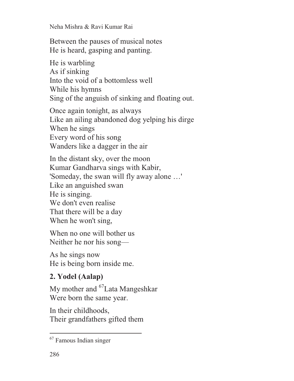Neha Mishra & Ravi Kumar Rai

Between the pauses of musical notes He is heard, gasping and panting.

He is warbling As if sinking Into the void of a bottomless well While his hymns Sing of the anguish of sinking and floating out.

Once again tonight, as always Like an ailing abandoned dog yelping his dirge When he sings Every word of his song Wanders like a dagger in the air

In the distant sky, over the moon Kumar Gandharva sings with Kabir, 'Someday, the swan will fly away alone …' Like an anguished swan He is singing. We don't even realise That there will be a day When he won't sing,

When no one will bother us Neither he nor his song—

As he sings now He is being born inside me.

# **2. Yodel (Aalap)**

My mother and <sup>67</sup>Lata Mangeshkar Were born the same year.

In their childhoods, Their grandfathers gifted them

 $\overline{a}$ 

<sup>67</sup> Famous Indian singer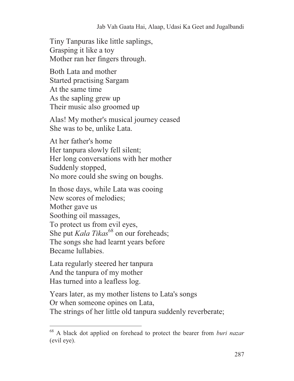Tiny Tanpuras like little saplings, Grasping it like a toy Mother ran her fingers through.

Both Lata and mother Started practising Sargam At the same time As the sapling grew up Their music also groomed up

Alas! My mother's musical journey ceased She was to be, unlike Lata.

At her father's home Her tanpura slowly fell silent; Her long conversations with her mother Suddenly stopped, No more could she swing on boughs.

In those days, while Lata was cooing New scores of melodies; Mother gave us Soothing oil massages, To protect us from evil eyes, She put *Kala Tikas*<sup>68</sup> on our foreheads; The songs she had learnt years before Became lullabies.

Lata regularly steered her tanpura And the tanpura of my mother Has turned into a leafless log.

 $\overline{a}$ 

Years later, as my mother listens to Lata's songs Or when someone opines on Lata, The strings of her little old tanpura suddenly reverberate;

<sup>68</sup> A black dot applied on forehead to protect the bearer from *buri nazar* (evil eye).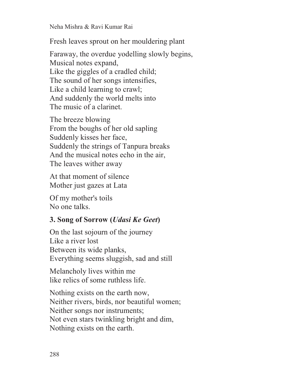Neha Mishra & Ravi Kumar Rai

Fresh leaves sprout on her mouldering plant

Faraway, the overdue yodelling slowly begins, Musical notes expand, Like the giggles of a cradled child; The sound of her songs intensifies, Like a child learning to crawl; And suddenly the world melts into The music of a clarinet.

The breeze blowing From the boughs of her old sapling Suddenly kisses her face, Suddenly the strings of Tanpura breaks And the musical notes echo in the air, The leaves wither away

At that moment of silence Mother just gazes at Lata

Of my mother's toils No one talks.

#### **3. Song of Sorrow (***Udasi Ke Geet***)**

On the last sojourn of the journey Like a river lost Between its wide planks, Everything seems sluggish, sad and still

Melancholy lives within me like relics of some ruthless life.

Nothing exists on the earth now, Neither rivers, birds, nor beautiful women; Neither songs nor instruments; Not even stars twinkling bright and dim, Nothing exists on the earth.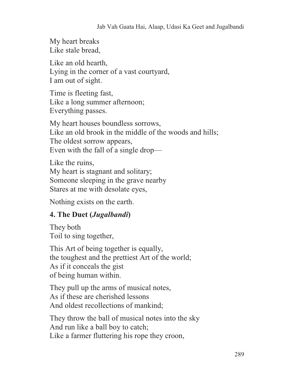My heart breaks Like stale bread,

Like an old hearth, Lying in the corner of a vast courtyard, I am out of sight.

Time is fleeting fast, Like a long summer afternoon; Everything passes.

My heart houses boundless sorrows, Like an old brook in the middle of the woods and hills; The oldest sorrow appears, Even with the fall of a single drop—

Like the ruins, My heart is stagnant and solitary; Someone sleeping in the grave nearby Stares at me with desolate eyes,

Nothing exists on the earth.

### **4. The Duet (***Jugalbandi***)**

They both Toil to sing together,

This Art of being together is equally, the toughest and the prettiest Art of the world; As if it conceals the gist of being human within.

They pull up the arms of musical notes, As if these are cherished lessons And oldest recollections of mankind;

They throw the ball of musical notes into the sky And run like a ball boy to catch; Like a farmer fluttering his rope they croon,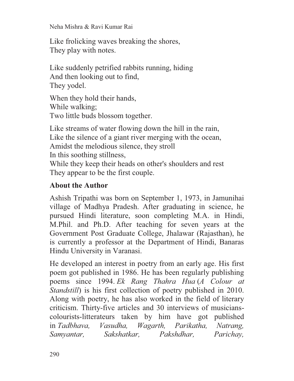Neha Mishra & Ravi Kumar Rai

Like frolicking waves breaking the shores, They play with notes.

Like suddenly petrified rabbits running, hiding And then looking out to find, They yodel.

When they hold their hands, While walking; Two little buds blossom together.

Like streams of water flowing down the hill in the rain, Like the silence of a giant river merging with the ocean, Amidst the melodious silence, they stroll In this soothing stillness, While they keep their heads on other's shoulders and rest They appear to be the first couple.

## **About the Author**

Ashish Tripathi was born on September 1, 1973, in Jamunihai village of Madhya Pradesh. After graduating in science, he pursued Hindi literature, soon completing M.A. in Hindi, M.Phil. and Ph.D. After teaching for seven years at the Government Post Graduate College, Jhalawar (Rajasthan), he is currently a professor at the Department of Hindi, Banaras Hindu University in Varanasi.

He developed an interest in poetry from an early age. His first poem got published in 1986. He has been regularly publishing poems since 1994. *Ek Rang Thahra Hua* (*A Colour at Standstill*) is his first collection of poetry published in 2010. Along with poetry, he has also worked in the field of literary criticism. Thirty-five articles and 30 interviews of musicianscolourists-litterateurs taken by him have got published in *Tadbhava, Vasudha, Wagarth, Parikatha, Natrang, Samyantar, Sakshatkar, Pakshdhar, Parichay,*